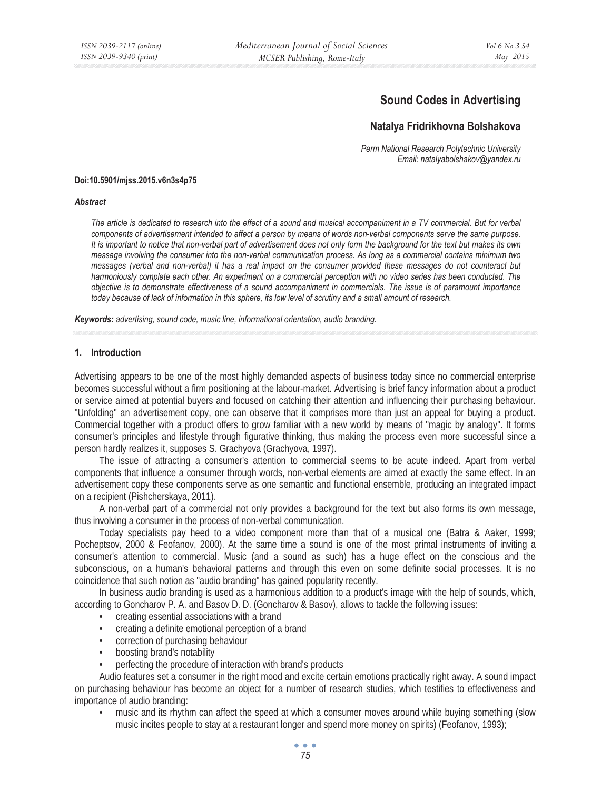# **Sound Codes in Advertising**

### **Natalya Fridrikhovna Bolshakova**

*Perm National Research Polytechnic University Email: natalyabolshakov@yandex.ru* 

#### **Doi:10.5901/mjss.2015.v6n3s4p75**

#### *Abstract*

*The article is dedicated to research into the effect of a sound and musical accompaniment in a TV commercial. But for verbal components of advertisement intended to affect a person by means of words non-verbal components serve the same purpose. It is important to notice that non-verbal part of advertisement does not only form the background for the text but makes its own message involving the consumer into the non-verbal communication process. As long as a commercial contains minimum two messages (verbal and non-verbal) it has a real impact on the consumer provided these messages do not counteract but harmoniously complete each other. An experiment on a commercial perception with no video series has been conducted. The objective is to demonstrate effectiveness of a sound accompaniment in commercials. The issue is of paramount importance today because of lack of information in this sphere, its low level of scrutiny and a small amount of research.* 

*Keywords: advertising, sound code, music line, informational orientation, audio branding.*

#### **1. Introduction**

Advertising appears to be one of the most highly demanded aspects of business today since no commercial enterprise becomes successful without a firm positioning at the labour-market. Advertising is brief fancy information about a product or service aimed at potential buyers and focused on catching their attention and influencing their purchasing behaviour. "Unfolding" an advertisement copy, one can observe that it comprises more than just an appeal for buying a product. Commercial together with a product offers to grow familiar with a new world by means of "magic by analogy". It forms consumer's principles and lifestyle through figurative thinking, thus making the process even more successful since a person hardly realizes it, supposes S. Grachyova (Grachyova, 1997).

The issue of attracting a consumer's attention to commercial seems to be acute indeed. Apart from verbal components that influence a consumer through words, non-verbal elements are aimed at exactly the same effect. In an advertisement copy these components serve as one semantic and functional ensemble, producing an integrated impact on a recipient (Pishcherskaya, 2011).

A non-verbal part of a commercial not only provides a background for the text but also forms its own message, thus involving a consumer in the process of non-verbal communication.

Today specialists pay heed to a video component more than that of a musical one (Batra & Aaker, 1999; Pocheptsov, 2000 & Feofanov, 2000). At the same time a sound is one of the most primal instruments of inviting a consumer's attention to commercial. Music (and a sound as such) has a huge effect on the conscious and the subconscious, on a human's behavioral patterns and through this even on some definite social processes. It is no coincidence that such notion as "audio branding" has gained popularity recently.

In business audio branding is used as a harmonious addition to a product's image with the help of sounds, which, according to Goncharov P. A. and Basov D. D. (Goncharov & Basov), allows to tackle the following issues:

- creating essential associations with a brand
- creating a definite emotional perception of a brand
- correction of purchasing behaviour
- boosting brand's notability
- perfecting the procedure of interaction with brand's products

Audio features set a consumer in the right mood and excite certain emotions practically right away. A sound impact on purchasing behaviour has become an object for a number of research studies, which testifies to effectiveness and importance of audio branding:

• music and its rhythm can affect the speed at which a consumer moves around while buying something (slow music incites people to stay at a restaurant longer and spend more money on spirits) (Feofanov, 1993);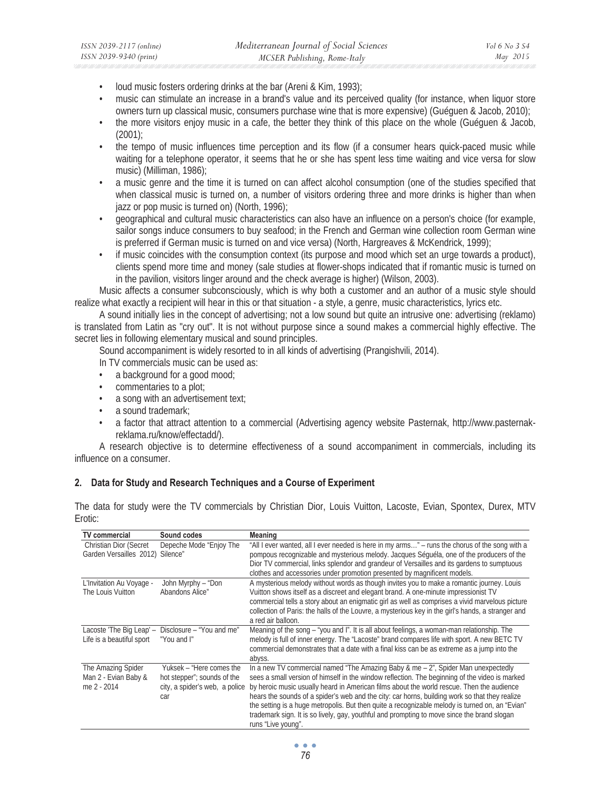- loud music fosters ordering drinks at the bar (Areni & Kim, 1993);
- music can stimulate an increase in a brand's value and its perceived quality (for instance, when liquor store owners turn up classical music, consumers purchase wine that is more expensive) (Guéguen & Jacob, 2010);
- the more visitors enjoy music in a cafe, the better they think of this place on the whole (Guéguen & Jacob,  $(2001)$ ;
- the tempo of music influences time perception and its flow (if a consumer hears quick-paced music while waiting for a telephone operator, it seems that he or she has spent less time waiting and vice versa for slow music) (Milliman, 1986);
- a music genre and the time it is turned on can affect alcohol consumption (one of the studies specified that when classical music is turned on, a number of visitors ordering three and more drinks is higher than when jazz or pop music is turned on) (North, 1996);
- geographical and cultural music characteristics can also have an influence on a person's choice (for example, sailor songs induce consumers to buy seafood; in the French and German wine collection room German wine is preferred if German music is turned on and vice versa) (North, Hargreaves & McKendrick, 1999);
- if music coincides with the consumption context (its purpose and mood which set an urge towards a product), clients spend more time and money (sale studies at flower-shops indicated that if romantic music is turned on in the pavilion, visitors linger around and the check average is higher) (Wilson, 2003).

Music affects a consumer subconsciously, which is why both a customer and an author of a music style should realize what exactly a recipient will hear in this or that situation - a style, a genre, music characteristics, lyrics etc.

A sound initially lies in the concept of advertising; not a low sound but quite an intrusive one: advertising (reklamo) is translated from Latin as "cry out". It is not without purpose since a sound makes a commercial highly effective. The secret lies in following elementary musical and sound principles.

Sound accompaniment is widely resorted to in all kinds of advertising (Prangishvili, 2014).

- In TV commercials music can be used as:
- a background for a good mood;
- commentaries to a plot;
- a song with an advertisement text;
- a sound trademark;
- a factor that attract attention to a commercial (Advertising agency website Pasternak, http://www.pasternakreklama.ru/know/effectadd/).

A research objective is to determine effectiveness of a sound accompaniment in commercials, including its influence on a consumer.

### **2. Data for Study and Research Techniques and a Course of Experiment**

The data for study were the TV commercials by Christian Dior, Louis Vuitton, Lacoste, Evian, Spontex, Durex, MTV Erotic:

| <b>TV</b> commercial                                      | Sound codes                                                                                      | <b>Meaning</b>                                                                                                                                                                                                                                                                                                                                                                                                                                                                                                                                                                                               |
|-----------------------------------------------------------|--------------------------------------------------------------------------------------------------|--------------------------------------------------------------------------------------------------------------------------------------------------------------------------------------------------------------------------------------------------------------------------------------------------------------------------------------------------------------------------------------------------------------------------------------------------------------------------------------------------------------------------------------------------------------------------------------------------------------|
| Christian Dior (Secret<br>Garden Versailles 2012)         | Depeche Mode "Enjoy The<br>Silence"                                                              | "All I ever wanted, all I ever needed is here in my arms" – runs the chorus of the song with a<br>pompous recognizable and mysterious melody. Jacques Séguéla, one of the producers of the<br>Dior TV commercial, links splendor and grandeur of Versailles and its gardens to sumptuous<br>clothes and accessories under promotion presented by magnificent models.                                                                                                                                                                                                                                         |
| L'Invitation Au Voyage -<br>The Louis Vuitton             | John Myrphy - "Don<br>Abandons Alice"                                                            | A mysterious melody without words as though invites you to make a romantic journey. Louis<br>Vuitton shows itself as a discreet and elegant brand. A one-minute impressionist TV<br>commercial tells a story about an enigmatic girl as well as comprises a vivid marvelous picture<br>collection of Paris: the halls of the Louvre, a mysterious key in the girl's hands, a stranger and<br>a red air balloon.                                                                                                                                                                                              |
| Lacoste 'The Big Leap' -<br>Life is a beautiful sport     | Disclosure - "You and me"<br>"You and I"                                                         | Meaning of the song – "you and I". It is all about feelings, a woman-man relationship. The<br>melody is full of inner energy. The "Lacoste" brand compares life with sport. A new BETC TV<br>commercial demonstrates that a date with a final kiss can be as extreme as a jump into the<br>abyss.                                                                                                                                                                                                                                                                                                            |
| The Amazing Spider<br>Man 2 - Evian Baby &<br>me 2 - 2014 | Yuksek - "Here comes the<br>hot stepper"; sounds of the<br>city, a spider's web, a police<br>car | In a new TV commercial named "The Amazing Baby & me $-2$ ", Spider Man unexpectedly<br>sees a small version of himself in the window reflection. The beginning of the video is marked<br>by heroic music usually heard in American films about the world rescue. Then the audience<br>hears the sounds of a spider's web and the city: car horns, building work so that they realize<br>the setting is a huge metropolis. But then quite a recognizable melody is turned on, an "Evian"<br>trademark sign. It is so lively, gay, youthful and prompting to move since the brand slogan<br>runs "Live young". |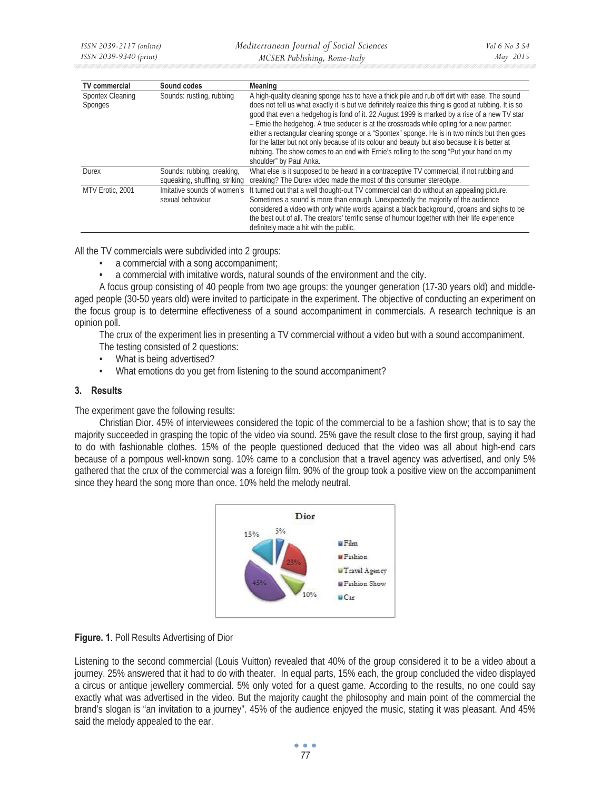| <b>TV</b> commercial        | Sound codes                                                  | <b>Meaning</b>                                                                                                                                                                                                                                                                                                                                                                                                                                                                                                                                                                                                                                                                                                             |
|-----------------------------|--------------------------------------------------------------|----------------------------------------------------------------------------------------------------------------------------------------------------------------------------------------------------------------------------------------------------------------------------------------------------------------------------------------------------------------------------------------------------------------------------------------------------------------------------------------------------------------------------------------------------------------------------------------------------------------------------------------------------------------------------------------------------------------------------|
| Spontex Cleaning<br>Sponges | Sounds: rustling, rubbing                                    | A high-quality cleaning sponge has to have a thick pile and rub off dirt with ease. The sound<br>does not tell us what exactly it is but we definitely realize this thing is good at rubbing. It is so<br>good that even a hedgehog is fond of it. 22 August 1999 is marked by a rise of a new TV star<br>- Ernie the hedgehog. A true seducer is at the crossroads while opting for a new partner:<br>either a rectangular cleaning sponge or a "Spontex" sponge. He is in two minds but then goes<br>for the latter but not only because of its colour and beauty but also because it is better at<br>rubbing. The show comes to an end with Ernie's rolling to the song "Put your hand on my<br>shoulder" by Paul Anka. |
| <b>Durex</b>                | Sounds: rubbing, creaking,<br>squeaking, shuffling, striking | What else is it supposed to be heard in a contraceptive TV commercial, if not rubbing and<br>creaking? The Durex video made the most of this consumer stereotype.                                                                                                                                                                                                                                                                                                                                                                                                                                                                                                                                                          |
| MTV Erotic. 2001            | Imitative sounds of women's<br>sexual behaviour              | It turned out that a well thought-out TV commercial can do without an appealing picture.<br>Sometimes a sound is more than enough. Unexpectedly the majority of the audience<br>considered a video with only white words against a black background, groans and sighs to be<br>the best out of all. The creators' terrific sense of humour together with their life experience<br>definitely made a hit with the public.                                                                                                                                                                                                                                                                                                   |

All the TV commercials were subdivided into 2 groups:

- a commercial with a song accompaniment;
- a commercial with imitative words, natural sounds of the environment and the city.

A focus group consisting of 40 people from two age groups: the younger generation (17-30 years old) and middleaged people (30-50 years old) were invited to participate in the experiment. The objective of conducting an experiment on the focus group is to determine effectiveness of a sound accompaniment in commercials. A research technique is an opinion poll.

The crux of the experiment lies in presenting a TV commercial without a video but with a sound accompaniment.

- The testing consisted of 2 questions:
- What is being advertised?
- What emotions do you get from listening to the sound accompaniment?

#### **3. Results**

The experiment gave the following results:

Christian Dior. 45% of interviewees considered the topic of the commercial to be a fashion show; that is to say the majority succeeded in grasping the topic of the video via sound. 25% gave the result close to the first group, saying it had to do with fashionable clothes. 15% of the people questioned deduced that the video was all about high-end cars because of a pompous well-known song. 10% came to a conclusion that a travel agency was advertised, and only 5% gathered that the crux of the commercial was a foreign film. 90% of the group took a positive view on the accompaniment since they heard the song more than once. 10% held the melody neutral.





Listening to the second commercial (Louis Vuitton) revealed that 40% of the group considered it to be a video about a journey. 25% answered that it had to do with theater. In equal parts, 15% each, the group concluded the video displayed a circus or antique jewellery commercial. 5% only voted for a quest game. According to the results, no one could say exactly what was advertised in the video. But the majority caught the philosophy and main point of the commercial the brand's slogan is "an invitation to a journey". 45% of the audience enjoyed the music, stating it was pleasant. And 45% said the melody appealed to the ear.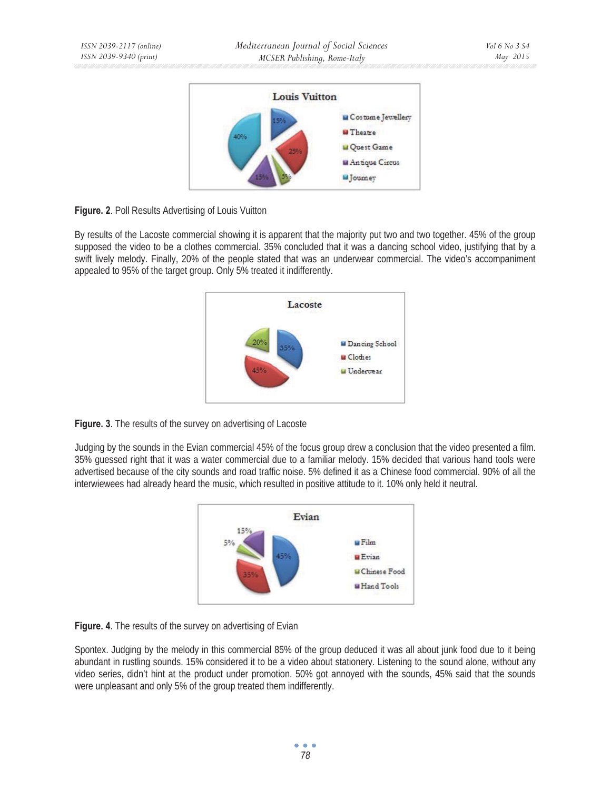

**Figure. 2. Poll Results Advertising of Louis Vuitton** 

By results of the Lacoste commercial showing it is apparent that the majority put two and two together. 45% of the group supposed the video to be a clothes commercial. 35% concluded that it was a dancing school video, justifying that by a swift lively melody. Finally, 20% of the people stated that was an underwear commercial. The video's accompaniment appealed to 95% of the target group. Only 5% treated it indifferently.



**Figure. 3**. The results of the survey on advertising of Lacoste

Judging by the sounds in the Evian commercial 45% of the focus group drew a conclusion that the video presented a film. 35% guessed right that it was a water commercial due to a familiar melody. 15% decided that various hand tools were advertised because of the city sounds and road traffic noise. 5% defined it as a Chinese food commercial. 90% of all the interwiewees had already heard the music, which resulted in positive attitude to it. 10% only held it neutral.





Spontex. Judging by the melody in this commercial 85% of the group deduced it was all about junk food due to it being abundant in rustling sounds. 15% considered it to be a video about stationery. Listening to the sound alone, without any video series, didn't hint at the product under promotion. 50% got annoyed with the sounds, 45% said that the sounds were unpleasant and only 5% of the group treated them indifferently.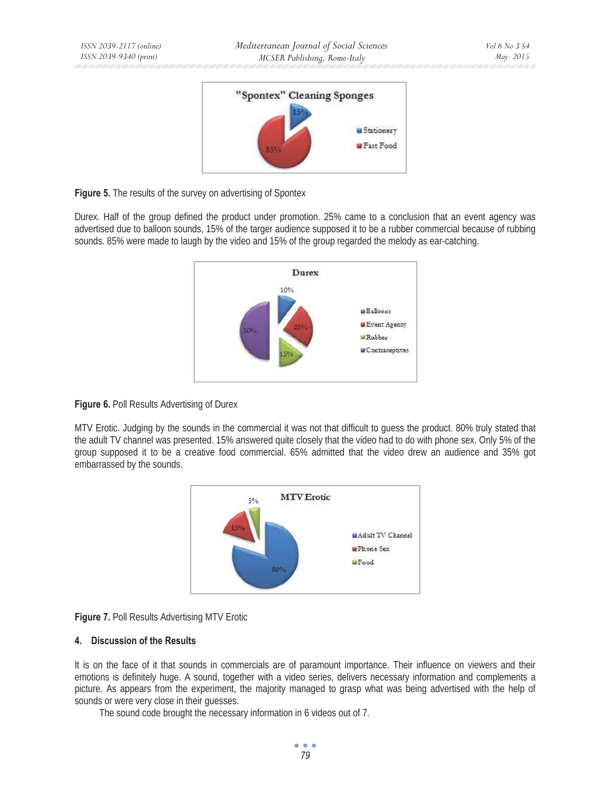

**Figure 5.** The results of the survey on advertising of Spontex

Durex. Half of the group defined the product under promotion. 25% came to a conclusion that an event agency was advertised due to balloon sounds, 15% of the targer audience supposed it to be a rubber commercial because of rubbing sounds. 85% were made to laugh by the video and 15% of the group regarded the melody as ear-catching.



**Figure 6. Poll Results Advertising of Durex** 

MTV Erotic. Judging by the sounds in the commercial it was not that difficult to guess the product. 80% truly stated that the adult TV channel was presented. 15% answered quite closely that the video had to do with phone sex. Only 5% of the group supposed it to be a creative food commercial. 65% admitted that the video drew an audience and 35% got embarrassed by the sounds.



**Figure 7. Poll Results Advertising MTV Erotic** 

## **4. Discussion of the Results**

It is on the face of it that sounds in commercials are of paramount importance. Their influence on viewers and their emotions is definitely huge. A sound, together with a video series, delivers necessary information and complements a picture. As appears from the experiment, the majority managed to grasp what was being advertised with the help of sounds or were very close in their guesses.

The sound code brought the necessary information in 6 videos out of 7.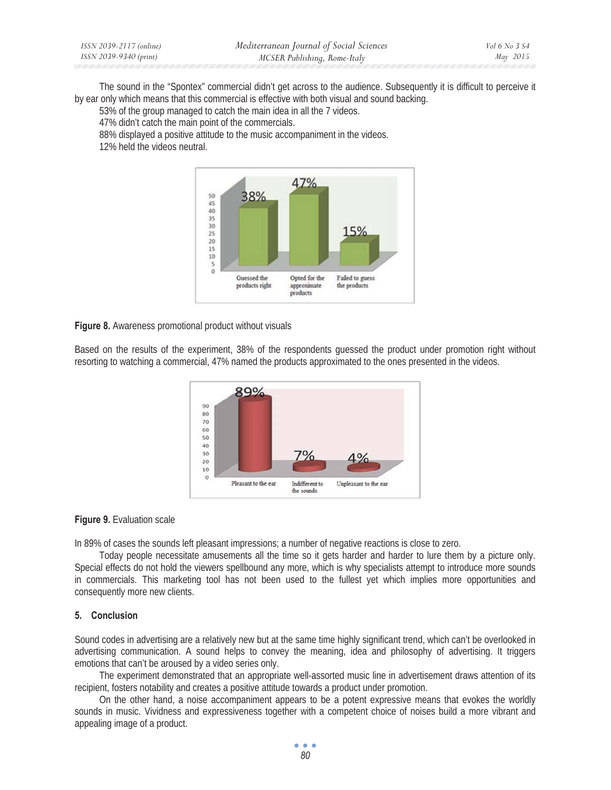| ISSN 2039-2117 (online) | Mediterranean Journal of Social Sciences | Vol 6 No 3 S4 |
|-------------------------|------------------------------------------|---------------|
| ISSN 2039-9340 (print)  | MCSER Publishing, Rome-Italy             | May 2015      |

The sound in the "Spontex" commercial didn't get across to the audience. Subsequently it is difficult to perceive it by ear only which means that this commercial is effective with both visual and sound backing.

53% of the group managed to catch the main idea in all the 7 videos.

47% didn't catch the main point of the commercials.

88% displayed a positive attitude to the music accompaniment in the videos.

12% held the videos neutral.



**Figure 8.** Awareness promotional product without visuals

Based on the results of the experiment, 38% of the respondents guessed the product under promotion right without resorting to watching a commercial, 47% named the products approximated to the ones presented in the videos.



#### **Figure 9.** Evaluation scale

In 89% of cases the sounds left pleasant impressions; a number of negative reactions is close to zero.

Today people necessitate amusements all the time so it gets harder and harder to lure them by a picture only. Special effects do not hold the viewers spellbound any more, which is why specialists attempt to introduce more sounds in commercials. This marketing tool has not been used to the fullest yet which implies more opportunities and consequently more new clients.

#### **5. Conclusion**

Sound codes in advertising are a relatively new but at the same time highly significant trend, which can't be overlooked in advertising communication. A sound helps to convey the meaning, idea and philosophy of advertising. It triggers emotions that can't be aroused by a video series only.

The experiment demonstrated that an appropriate well-assorted music line in advertisement draws attention of its recipient, fosters notability and creates a positive attitude towards a product under promotion.

On the other hand, a noise accompaniment appears to be a potent expressive means that evokes the worldly sounds in music. Vividness and expressiveness together with a competent choice of noises build a more vibrant and appealing image of a product.